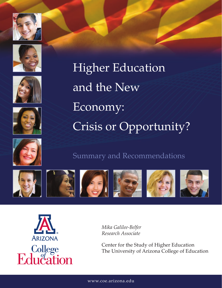











# Summary and Recommendations





*Mika Galilee-Belfer Research Associate*

Center for the Study of Higher Education The University of Arizona College of Education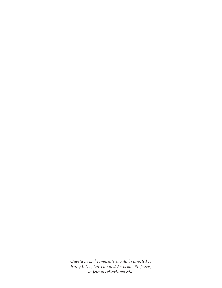*Questions and comments should be directed to Jenny J. Lee, Director and Associate Professor, at JennyLee@arizona.edu.*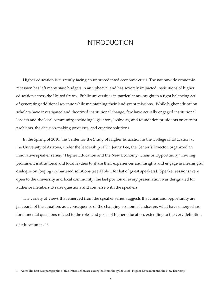## INTRODUCTION

Higher education is currently facing an unprecedented economic crisis. The nationwide economic recession has left many state budgets in an upheaval and has severely impacted institutions of higher education across the United States. Public universities in particular are caught in a tight balancing act of generating additional revenue while maintaining their land-grant missions. While higher education scholars have investigated and theorized institutional change, few have actually engaged institutional leaders and the local community, including legislators, lobbyists, and foundation presidents on current problems, the decision-making processes, and creative solutions.

In the Spring of 2010, the Center for the Study of Higher Education in the College of Education at the University of Arizona, under the leadership of Dr. Jenny Lee, the Center's Director, organized an innovative speaker series, "Higher Education and the New Economy: Crisis or Opportunity," inviting prominent institutional and local leaders to share their experiences and insights and engage in meaningful dialogue on forging unchartered solutions (see Table 1 for list of guest speakers). Speaker sessions were open to the university and local community; the last portion of every presentation was designated for audience members to raise questions and converse with the speakers.<sup>1</sup>

The variety of views that emerged from the speaker series suggests that crisis and opportunity are just parts of the equation; as a consequence of the changing economic landscape, what have emerged are fundamental questions related to the roles and goals of higher education, extending to the very definition of education itself.

<sup>1</sup> Note: The first two paragraphs of this Introduction are excerpted from the syllabus of "Higher Education and the New Economy."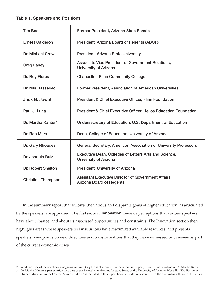### Table 1. Speakers and Positions $2$

| <b>Tim Bee</b>                 | Former President, Arizona State Senate                                                        |  |
|--------------------------------|-----------------------------------------------------------------------------------------------|--|
| Ernest Calderón                | President, Arizona Board of Regents (ABOR)                                                    |  |
| Dr. Michael Crow               | <b>President, Arizona State University</b>                                                    |  |
| <b>Greg Fahey</b>              | Associate Vice President of Government Relations,<br><b>University of Arizona</b>             |  |
| Dr. Roy Flores                 | <b>Chancellor, Pima Community College</b>                                                     |  |
| Dr. Nils Hasselmo              | <b>Former President, Association of American Universities</b>                                 |  |
| Jack B. Jewett                 | <b>President &amp; Chief Executive Officer, Flinn Foundation</b>                              |  |
| Paul J. Luna                   | <b>President &amp; Chief Executive Officer, Helios Education Foundation</b>                   |  |
| Dr. Martha Kanter <sup>3</sup> | Undersecretary of Education, U.S. Department of Education                                     |  |
| Dr. Ron Marx                   | Dean, College of Education, University of Arizona                                             |  |
| Dr. Gary Rhoades               | General Secretary, American Association of University Professors                              |  |
| Dr. Joaquin Ruiz               | Executive Dean, Colleges of Letters Arts and Science,<br><b>University of Arizona</b>         |  |
| <b>Dr. Robert Shelton</b>      | President, University of Arizona                                                              |  |
| <b>Christine Thompson</b>      | <b>Assistant Executive Director of Government Affairs,</b><br><b>Arizona Board of Regents</b> |  |

In the summary report that follows, the various and disparate goals of higher education, as articulated by the speakers, are appraised. The first section, **Innovation**, reviews perceptions that various speakers have about change, and about its associated opportunities and constraints. The Innovation section then highlights areas where speakers feel institutions have maximized available resources, and presents speakers' viewpoints on new directions and transformations that they have witnessed or overseen as part of the current economic crises.

<sup>2</sup> While not one of the speakers, Congressman Raul Grijalva is also quoted in the summary report, from his Introduction of Dr. Martha Kanter 3 Dr. Martha Kanter's presentation was part of the Ernest W. McFarland Lecture Series at the University of Arizona. Her talk, "The Future of

Higher Education in the Obama Administration," is included in this report because of its consistency with the overarching theme of the series.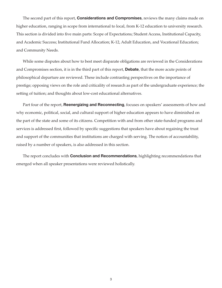The second part of this report, **Considerations and Compromises**, reviews the many claims made on higher education, ranging in scope from international to local, from K-12 education to university research. This section is divided into five main parts: Scope of Expectations; Student Access, Institutional Capacity, and Academic Success; Institutional Fund Allocation; K-12, Adult Education, and Vocational Education; and Community Needs.

While some disputes about how to best meet disparate obligations are reviewed in the Considerations and Compromises section, it is in the third part of this report, **Debate**, that the more acute points of philosophical departure are reviewed. These include contrasting perspectives on the importance of prestige; opposing views on the role and criticality of research as part of the undergraduate experience; the setting of tuition; and thoughts about low-cost educational alternatives.

Part four of the report, **Reenergizing and Reconnecting**, focuses on speakers' assessments of how and why economic, political, social, and cultural support of higher education appears to have diminished on the part of the state and some of its citizens. Competition with and from other state-funded programs and services is addressed first, followed by specific suggestions that speakers have about regaining the trust and support of the communities that institutions are charged with serving. The notion of accountability, raised by a number of speakers, is also addressed in this section.

The report concludes with **Conclusion and Recommendations**, highlighting recommendations that emerged when all speaker presentations were reviewed holistically.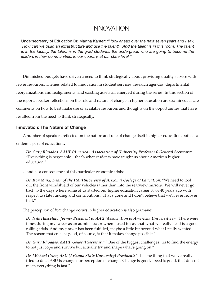## INNOVATION

Undersecretary of Education Dr. Martha Kanter: *"I look ahead over the next seven years and I say, 'How can we build an infrastructure and use the talent?' And the talent is in this room. The talent is in the faculty, the talent is in the grad students, the undergrads who are going to become the leaders in their communities, in our country, at our state level."*

Diminished budgets have driven a need to think strategically about providing quality service with fewer resources. Themes related to innovation in student services, research agendas, departmental reorganizations and realignments, and existing assets all emerged during the series. In this section of the report, speaker reflections on the role and nature of change in higher education are examined, as are comments on how to best make use of available resources and thoughts on the opportunities that have resulted from the need to think strategically.

### **Innovation: The Nature of Change**

A number of speakers reflected on the nature and role of change itself in higher education, both as an endemic part of education…

*Dr. Gary Rhoades, AAUP (American Association of University Professors) General Secretary:* "Everything is negotiable…that's what students have taught us about American higher education."

…and as a consequence of this particular economic crisis:

*Dr. Ron Marx, Dean of the UA (University of Arizona) College of Education:* "We need to look out the front windshield of our vehicles rather than into the rearview mirrors. We will never go back to the days where some of us started our higher education career 30 or 40 years ago with respect to state funding and contributions. That's gone and I don't believe that we'll ever recover that."

The perception of *how* change occurs in higher education is also germane:

*Dr. Nils Hasselmo, former President of AAU (Association of American Universities):* "There were times during my career as an administrator when I used to say that what we really need is a good rolling crisis. And my prayer has been fulfilled, maybe a little bit beyond what I really wanted. The reason that crisis is good, of course, is that it makes change possible."

*Dr. Gary Rhoades, AAUP General Secretary:* "One of the biggest challenges…is to find the energy to not just cope and survive but actually try and shape what's going on."

*Dr. Michael Crow, ASU (Arizona State University) President:* "The one thing that we've really tried to do at ASU is change our perception of change. Change is good, speed is good, that doesn't mean everything is fast."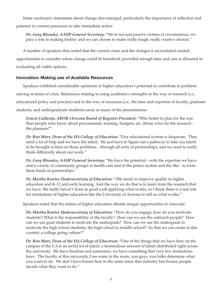Some cautionary statements about change also emerged, particularly the importance of reflection and patience to counter pressures to take immediate action:

*Dr. Gary Rhoades, AAUP General Secretary:* "We're not just passive victims of circumstance; we play a role in making history and we can choose to make really tough, really creative choices."

A number of speakers thus noted that the current crises and the changes it necessitated created

opportunities to consider where change could be beneficial, provided enough time and care is allocated to evaluating all viable options.

## **Innovation: Making use of Available Resources**

Speakers exhibited considerable optimism in higher education's potential to contribute to problemsolving in times of crisis. References relating to using academia's strengths in the way of research (i.e., educational policy and practice) and in the way of resources (i.e., the time and expertise of faculty, graduate students, and undergraduate students) arose in many of the presentations:

*Ernest Calderón, ABOR (Arizona Board of Regents) President:* "Who better to plan for the war than people who know about procurement, training, budgets, etc, (those who) do the research the planners?"

*Dr. Ron Marx, Dean of the UA College of Education:* "Our educational system is desperate. They need a lot of help and we have the talent. We just have to figure out a pathway to take our talent to be brought to bear on those problems....through all sorts of partnerships, and we need to really think differently about our work."

*Dr. Gary Rhoades, AAUP General Secretary:* "We have the potential - with the expertise we have and a variety of community groups in health care and in the justice system and the like - to form these kinds of partnerships."

*Dr. Martha Kanter, Undersecretary of Education:* "(We need) to improve quality in higher education and K-12 and early learning. And the way we do that is to learn from the research that we have. We really haven't done as good a job applying what works, so I think there is a real role for institutions of higher education like the University of Arizona to tell us what works."

Speakers noted that the milieu of higher education affords unique opportunities to innovate:

*Dr. Martha Kanter, Undersecretary of Education:* "How do you engage, how do you motivate students? What is the responsibility of the faculty? How can we use the outreach people? How can we use grad students to motivate the undergrads? How can we use the undergrads to motivate the high school students, the high school to middle school? So that we can create in this country a college going culture?"

*Dr. Ron Marx, Dean of the UA College of Education:* "One of the things that we have here on the campus of the UA is an awful lot of talent, a tremendous amount of talent distributed right across the university. We have freedom and autonomy; we have something that very few institutions have. The faculty at this university, I see some in the room, you guys, you folks determine what you want to do. We don't have bosses here in the same sense that industry has bosses; people decide what they want to do."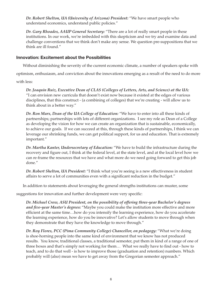*Dr. Robert Shelton, UA (University of Arizona) President:* "We have smart people who understand economics, understand public policies."

*Dr. Gary Rhoades, AAUP General Secretary:* "There are a lot of really smart people in these institutions. In our work, we're imbedded with this skepticism and we try and examine data and challenge conventions that we think don't make any sense. We question pre-suppositions that we think are ill found."

## **Innovation: Excitement about the Possibilities**

Without diminishing the severity of the current economic climate, a number of speakers spoke with

optimism, enthusiasm, and conviction about the innovations emerging as a result of the need to do more

with less:

*Dr. Joaquin Ruiz, Executive Dean of CLAS (Colleges of Letters, Arts, and Science) at the UA:* "I can envision new curricula that doesn't exist now because it existed at the edges of various disciplines, that this construct - (a combining of colleges) that we're creating - will allow us to think about in a better way."

*Dr. Ron Marx, Dean of the UA College of Education:* "We have to enter into all these kinds of partnerships; partnerships with lots of different organizations. I see my role as Dean of a College as developing the vision for how we can create an organization that is sustainable, economically, to achieve our goals. If we can succeed at this, through these kinds of partnerships, I think we can leverage our shrinking funds, we can get political support, for us and education. That is extremely important."

*Dr. Martha Kanter, Undersecretary of Education:* "We have to build the infrastructure during the recovery and figure out, I think at the federal level, at the state level, and at the local level how we can re-frame the resources that we have and what more do we need going forward to get this job done."

*Dr. Robert Shelton, UA President:* "I think what you're seeing is a new effectiveness in student affairs to serve a lot of communities even with a significant reduction in the budget."

In addition to statements about leveraging the general strengths institutions can muster, some

suggestions for innovation and further development were very specific:

*Dr. Michael Crow, ASU President, on the possibility of offering three-year Bachelor's degrees and five-year Master's degrees:* "Maybe you could make the institution more effective and more efficient at the same time…how do you intensify the learning experience, how do you accelerate the learning experience, how do you be innovative? Let's allow students to move through when they demonstrate that they have the knowledge to move through."

*Dr. Roy Flores, PCC (Pima Community College) Chancellor, on pedagogy:* "What we're doing is shoe-horning people into the same kind of environment that we know has not produced results. You know, traditional classes, a traditional semester, put them in kind of a range of one of three boxes and that's simply not working for them… What we really have to find out - how to teach, and to do that well - is how to improve those (graduation and retention) numbers. Which probably will (also) mean we have to get away from the Gregorian semester approach."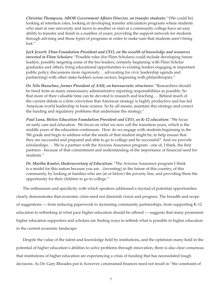*Christine Thompson, ABOR Government Affairs Director, on transfer students:* "(We could be) looking at retention rates, looking at developing transfer articulation programs where students who start at one university and move to another or start at a community college have an easy ability to transfer and finish in a number of years; providing the support network for students through advising and those types of programs in order to make sure that students aren't being lost."

*Jack Jewett, Flinn Foundation President and CEO, on the wealth of knowledge and resources invested in Flinn Scholars:* "Possible roles (for Flinn Scholars) could include developing future leaders, possibly targeting some of the bio-leaders, certainly beginning with Flinn Scholar graduates and others; bring educational opportunities to existing leaders engaging in important public policy discussions more rigorously… advocating for civic leadership agenda and partner(ing) with other stake-holders across sectors, beginning with philanthropies."

*Dr. Nils Hasselmo, former President of AAU, on bureaucratic structures:* "Researchers should be freed from as many unnecessary administrative reporting responsibilities as possible. So that more of their valuable time can be devoted to research and teaching…. Behind much of the current debate is a firm conviction that American strategy is highly productive and has led American world leadership in basic science. So by all means, maintain this strategy and correct the funding and regulatory problems that undermine the strategy."

*Paul Luna, Helios Education Foundation President and CEO, on K-12 education:* "We focus on early care and education. We focus on what we now call the transition years, which is the middle years of the education continuum. How do we engage with students beginning in the 5th grade and begin to address what the needs of that student might be, to help ensure that they are successful and prepared and able to go to college and be successful? And we provide scholarships…. We're a partner with the Arizona Assurance program - one of, I think, the first partners - because of that commitment and understanding of the importance of financial need for students."

*Dr. Martha Kanter, Undersecretary of Education:* "The Arizona Assurance program I think is a model for this nation because you are…(investing) in the future of this country, of this community, by looking at families who are (at or below) the poverty line, and providing them the opportunity for their children to go to college."

The enthusiasm and specificity with which speakers addressed a myriad of potential opportunities clearly demonstrates that economic crisis need not diminish vision and progress. The breadth and scope of suggestions — from reducing paperwork to increasing community partnerships, from supporting K-12 education to rethinking at what pace higher education should be offered — suggests that many prominent higher education supporters and scholars are finding ways to rethink what is possible in higher education in the current economic landscape.

Despite the value of the talent and knowledge held by institutions, and the optimism many hold in the potential of higher education's abilities to solve problems through innovation, there is also clear consensus that institutions of higher education are experiencing a crisis of funding that has necessitated tough decisions. As Dr. Gary Rhoades put it, however, constrained finances need not result in "the constraint of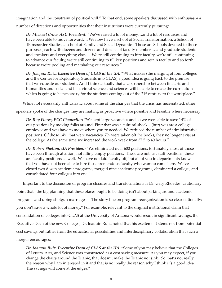imagination and the constraint of political will." To that end, some speakers discussed with enthusiasm a

number of directions and opportunities that their institutions were currently pursuing:

*Dr. Michael Crow, ASU President:* "We've raised a lot of money…and a lot of resources and have been able to move forward…. We now have a school of Social Transformation, a School of Transborder Studies, a school of Family and Social Dynamics. Those are Schools devoted to those purposes, each with dozens and dozens and dozens of faculty members…and graduate students and speakers and everything else…. We're still continuing to hire faculty, we're still continuing to advance our faculty, we're still continuing to fill key positions and retain faculty and so forth because we're pooling and marshaling our resources."

*Dr. Joaquin Ruiz, Executive Dean of CLAS at the UA:* "What makes (the merging of four colleges and the Center for Exploratory Students into CLAS) a good idea is going back to the premise that we educate our students. And I think actually that a…partnership between fine arts and humanities and social and behavioral science and sciences will be able to create the curriculum which is going to be necessary for the students coming out of the 21<sup>st</sup> century to the workplace."

While not necessarily enthusiastic about some of the changes that the crisis has necessitated, other

speakers spoke of the changes they are making as proactive where possible and feasible where necessary:

*Dr. Roy Flores, PCC Chancellor:* "We kept large vacancies and so we were able to save 14% of our positions by moving folks around. First that was a cultural shock…(but) you are a college employee and you have to move where you're needed. We reduced the number of administrative positions. Of those 14% that were vacancies, 7% were taken off the books; they no longer exist at the college. At the same time we increased the work week from 37.5 to 40 hours."

*Dr. Robert Shelton, UA President:* "We eliminated over 600 positions; fortunately, most of those have been through attrition, not filling empty positions. These are not just staff positions; these are faculty positions as well. We have not laid faculty off, but all of you in departments know that you have not been able to hire those tremendous faculty who want to come here. We've closed two dozen academic programs, merged nine academic programs, eliminated a college, and consolidated four colleges into one."

Important to the discussion of program closures and transformations is Dr. Gary Rhoades' cautionary point that "the big planning that these places ought to be doing isn't about jerking around academic programs and doing shotgun marriages.... The story line on program reorganization is so clear nationally: you don't save a whole lot of money." For example, relevant to the original institutional claim that consolidation of colleges into CLAS at the University of Arizona would result in significant savings, the Executive Dean of the new Colleges, Dr. Joaquin Ruiz, noted that his excitement stems not from potential cost savings but rather from the educational possibilities and interdisciplinary collaboration that such a merger encourages:

*Dr. Joaquin Ruiz, Executive Dean of CLAS at the UA:* "Some of you may believe that the Colleges of Letters, Arts, and Science was constructed as a cost saving measure. As you may expect, if you change the chairs around the Titanic, that doesn't make the Titanic not sink. So that's not really the reason why I am interested in it and that is not really the reason why I think it's a good idea. The savings will come at the edges."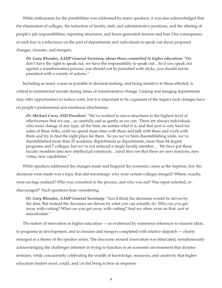While enthusiasm for the possibilities was addressed by many speakers, it was also acknowledged that the elimination of colleges, the reduction of faculty, staff, and administrative positions, and the altering of people's job responsibilities, reporting structures, and hours generated tension and fear. One consequence of such fear is a reluctance on the part of departments and individuals to speak out about proposed changes, closures, and mergers:

*Dr. Gary Rhoades, AAUP General Secretary, about those committed to higher education:* "We don't have the right to speak out, we have the responsibility to speak out…So if you speak out against a transformation process, you should not be punished with sticks, you should not be punished with a variety of actions."

Including as many voices as possible in decision-making, and being sensitive to those affected, is critical to institutional morale during times of transformative change. Linking and merging departments may offer opportunities to reduce costs, but it is important to be cognizant of the impact such changes have on people's professional and emotional attachments.

*Dr. Michael Crow, ASU President:* "We've worked to move structures to the highest level of effectiveness that we can…as carefully and as gently as we can. There are always individuals who resist change of any type, all the time, no matter what it is; and that part is very hard for some of those folks, until we spend more time with them and talk with them and work with them and try to find the right place for them. So yes we've been disestablishing units, we've disestablished more than 25 academic departments as departments, more than 44 degree programs and 7 colleges, but we've not reduced a single faculty member…. We have put these faculty members into new intellectual constructs…(and) they see that there are new horizons, new vistas, new capabilities."

While speakers addressed the changes made and fingered the economic crises as the impetus, *how* the decisions were made was a topic that did not emerge: why were certain colleges merged? Where, exactly, were savings realized? Who was consulted in the process, and who was not? Was input solicited, or discouraged? Such questions bear considering.

*Dr. Gary Rhoades, AAUP General Secretary:* "You'd think the decisions would be driven by the data. But instead the decisions are driven by what you can actually do. Who can you get away with cutting? What can you get away with cutting? And we often, even on that, sort of miscalculate."

The notion of innovation in higher education — as evidenced by numerous references to nascent ideas, to programs in development, and to closures and mergers completed with relative dispatch — clearly emerged as a theme of the speaker series. The discourse around innovation was bifurcated, simultaneously acknowledging the challenges inherent in trying to function in an economic environment that dictates restraint, while concurrently celebrating the wealth of knowledge, resources, and creativity that higher education leaders must, could, and/or did bring to bear in response.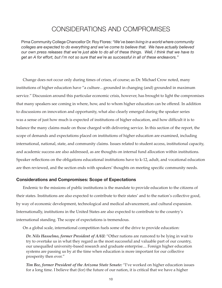## CONSIDERATIONS AND COMPROMISES

Pima Community College Chancellor Dr. Roy Flores: *"We've been living in a world where community colleges are expected to do everything and we've come to believe that. We have actually believed our own press releases that we're just able to do all of these things. Well, I think that we have to get an A for effort, but I'm not so sure that we're as successful in all of these endeavors."*

Change does not occur only during times of crises, of course; as Dr. Michael Crow noted, many institutions of higher education have "a culture…grounded in changing (and) grounded in maximum service." Discussion around this particular economic crisis, however, has brought to light the compromises that many speakers see coming in where, how, and to whom higher education can be offered. In addition to discussions on innovation and opportunity, what also clearly emerged during the speaker series was a sense of just how much is expected of institutions of higher education, and how difficult it is to balance the many claims made on those charged with delivering service. In this section of the report, the scope of demands and expectations placed on institutions of higher education are examined, including international, national, state, and community claims. Issues related to student access, institutional capacity, and academic success are also addressed, as are thoughts on internal fund allocation within institutions. Speaker reflections on the obligations educational institutions have to k-12, adult, and vocational education are then reviewed, and the section ends with speakers' thoughts on meeting specific community needs.

#### **Considerations and Compromises: Scope of Expectations**

Endemic to the missions of public institutions is the mandate to provide education to the citizens of their states. Institutions are also expected to contribute to their states' and to the nation's collective good, by way of economic development, technological and medical advancement, and cultural expansion. Internationally, institutions in the United States are also expected to contribute to the country's international standing. The scope of expectations is tremendous.

On a global scale, international competition fuels some of the drive to provide education:

*Dr. Nils Hasselmo, former President of AAU:* "Other nations are rumored to be lying in wait to try to overtake us in what they regard as the most successful and valuable part of our country, our unequalled university-based research and graduate enterprise.... Foreign higher education systems are passing us by at the time when education is more important for our collective prosperity then ever."

*Tim Bee, former President of the Arizona State Senate:* "I've worked on higher education issues for a long time. I believe that (for) the future of our nation, it is critical that we have a higher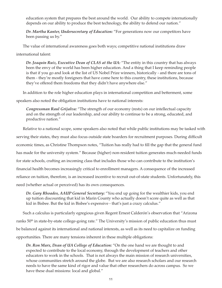education system that prepares the best around the world. Our ability to compete internationally depends on our ability to produce the best technology, the ability to defend our nation."

*Dr. Martha Kanter, Undersecretary of Education:* "For generations now our competitors have been passing us by."

The value of international awareness goes both ways; competitive national institutions draw

international talent:

*Dr. Joaquin Ruiz, Executive Dean of CLAS at the UA:* "The entity in this country that has always been the envy of the world has been higher education. And a thing that I keep reminding people is that if you go and look at the list of US Nobel Prize winners, historically - and there are tons of them - they're mostly foreigners that have come here to this country, these institutions, because they've offered them freedoms that they didn't have anywhere else."

In addition to the role higher education plays in international competition and betterment, some

speakers also noted the obligation institutions have to national interests:

*Congressman Raul Grijalva:* "The strength of our economy (rests) on our intellectual capacity and on the strength of our leadership, and our ability to continue to be a strong, educated, and productive nation."

Relative to a national scope, some speakers also noted that while public institutions may be tasked with serving their states, they must also focus outside state boarders for recruitment purposes. During difficult economic times, as Christine Thompson notes, "Tuition has really had to fill the gap that the general fund has made for the university system." Because (higher) non-resident tuition generates much-needed funds for state schools, crafting an incoming class that includes those who can contribute to the institution's financial health becomes increasingly critical to enrollment managers. A consequence of the increased reliance on tuition, therefore, is an increased incentive to recruit out-of-state students. Unfortunately, this need (whether actual or perceived) has its own consequences.

*Dr. Gary Rhoades, AAUP General Secretary:* "You end up going for the wealthier kids, you end up tuition discounting that kid in Marin County who actually doesn't score quite as well as that kid in Bisbee. But the kid in Bisbee's expensive - that's just a crazy calculus."

Such a calculus is particularly egregious given Regent Ernest Calderón's observation that "Arizona ranks 50<sup>th</sup> in state-by-state college-going rate." The University's mission of public education thus must be balanced against its international and national interests, as well as its need to capitalize on funding opportunities. There are many tensions inherent in these multiple obligations:

*Dr. Ron Marx, Dean of UA College of Education:* "On the one hand we are thought to and expected to contribute to the local economy, through the development of teachers and other educators to work in the schools. That is not always the main mission of research universities, whose communities stretch around the globe. But we are also research scholars and our research needs to have the same kind of rigor and value that other researchers do across campus. So we have these dual missions: local and global."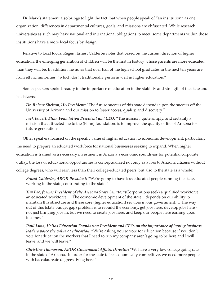Dr. Marx's statement also brings to light the fact that when people speak of "an institution" as one organization, differences in departmental cultures, goals, and missions are obfuscated. While research universities as such may have national and international obligations to meet, some departments within those institutions have a more local focus by design.

Relative to local focus, Regent Ernest Calderón notes that based on the current direction of higher education, the emerging generation of children will be the first in history whose parents are more educated than they will be. In addition, he notes that over half of the high school graduates in the next ten years are from ethnic minorities, "which don't traditionally perform well in higher education."

Some speakers spoke broadly to the importance of education to the stability and strength of the state and its citizens:

*Dr. Robert Shelton, UA President:* "The future success of this state depends upon the success off the University of Arizona and our mission to foster access, quality, and discovery."

*Jack Jewett, Flinn Foundation President and CEO:* "The mission, quite simply, and certainly a mission that attracted me to the (Flinn) foundation, is to improve the quality of life of Arizona for future generations."

Other speakers focused on the specific value of higher education to economic development, particularly the need to prepare an educated workforce for national businesses seeking to expand. When higher education is framed as a necessary investment in Arizona's economic soundness for potential corporate outlay, the loss of educational opportunities is conceptualized not only as a loss to Arizona citizens without college degrees, who will earn less than their college-educated peers, but also to the state as a whole:

*Ernest Calderón, ABOR President:* "We're going to have less educated people running the state, working in the state, contributing to the state."

*Tim Bee, former President of the Arizona State Senate:* "(Corporations seek) a qualified workforce, an educated workforce…. The economic development of the state…depends on our ability to maintain this structure and these core (higher education) services in our government…. The way out of this (state budget gap) problem is to rebuild the economy, get jobs here, develop jobs here not just bringing jobs in, but we need to create jobs here, and keep our people here earning good incomes."

*Paul Luna, Helios Education Foundation President and CEO, on the importance of having business leaders voice the value of education:* "We're asking you to vote for education because if you don't vote for education the workers that I need to run my company aren't going to be here and I will leave, and we will leave."

*Christine Thompson, ABOR Government Affairs Director:* "We have a very low college going rate in the state of Arizona. In order for the state to be economically competitive, we need more people with baccalaureate degrees living here."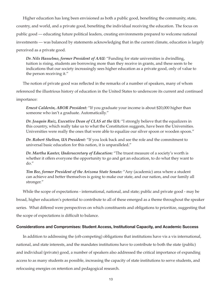Higher education has long been envisioned as both a public good, benefiting the community, state, country, and world, and a private good, benefiting the individual receiving the education. The focus on public good — educating future political leaders, creating environments prepared to welcome national investments — was balanced by statements acknowledging that in the current climate, education is largely perceived as a private good.

*Dr. Nils Hasselmo, former President of AAU:* "Funding for state universities is dwindling, tuition is rising, students are borrowing more than they receive in grants, and these seem to be indications that our society increasingly sees higher education as a private good, only of value to the person receiving it."

The notion of private good was reflected in the remarks of a number of speakers, many of whom

referenced the illustrious history of education in the United States to underscore its current and continued

importance:

*Ernest Calderón, ABOR President:* "If you graduate your income is about \$20,000 higher than someone who isn't a graduate. Automatically."

*Dr. Joaquin Ruiz, Executive Dean of CLAS at the UA:* "I strongly believe that the equalizers in this country, which really take us to what the Constitution suggests, have been the Universities. Universities were really the ones that were able to equalize our silver spoon or wooden spoon."

*Dr. Robert Shelton, UA President:* "If you look back and see the role and the commitment to universal basic education for this nation, it is unparalleled."

*Dr. Martha Kanter, Undersecretary of Education:* "The truest measure of a society's worth is whether it offers everyone the opportunity to go and get an education, to do what they want to do."

*Tim Bee, former President of the Arizona State Senate:* "Any (academic) area where a student can achieve and better themselves is going to make our state, and our nation, and our family all stronger."

While the scope of expectations - international, national, and state; public and private good - may be

broad, higher education's potential to contribute to all of these emerged as a theme throughout the speaker

series. What differed were perspectives on which constituents and obligations to prioritize, suggesting that

the scope of expectations is difficult to balance.

### **Considerations and Compromises: Student Access, Institutional Capacity, and Academic Success**

In addition to addressing the (oft-competing) obligations that institutions have vis a vis international, national, and state interests, and the mandates institutions have to contribute to both the state (public) and individual (private) good, a number of speakers also addressed the critical importance of expanding access to as many students as possible, increasing the capacity of state institutions to serve students, and refocusing energies on retention and pedagogical research.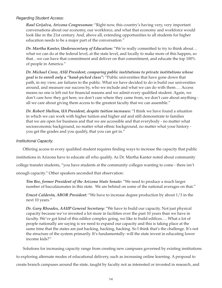### *Regarding Student Access:*

*Raul Grijalva, Arizona Congressman:* "Right now, this country's having very, very important conversations about our economy, our workforce, and what that economy and workforce would look like in the 21st century. And, above all, extending opportunities to all students for higher education needs to be a major part of the conversation."

*Dr. Martha Kanter, Undersecretary of Education:* "We're really committed to try to think about… what we can do at the federal level, at the state level, and locally to make more of this happen, so that…we can have that commitment and deliver on that commitment, and educate the top 100% of people in America."

*Dr. Michael Crow, ASU President, comparing public institutions to private institutions whose goal is to enroll only a "hand-picked class":* "Public universities that have gone down that path, in my view, are failures to the public. What we have decided to do is build our universities around, and measure our success by, who we include and what we can do with them…. Access means no one is left out for financial reasons and we admit every qualified student. Again, we don't care how they got here, we don't care where they came from, we don't care about anything all we care about giving them access to the greatest faculty that we can assemble."

*Dr. Robert Shelton, UA President, despite tuition increases:* "I think we have found a situation in which we can work with higher tuition and higher aid and still demonstrate to families that we are open for business and that we are accessible and that everybody - no matter what socioeconomic background, no matter what ethnic background, no matter what your history you get the grades and you qualify, that you can get in."

### *Institutional Capacity.*

Offering access to every qualified student requires finding ways to increase the capacity that public institutions in Arizona have to educate all who qualify. As Dr. Martha Kanter noted about community college transfer students, "you have students at the community colleges wanting to come - there isn't enough capacity." Other speakers seconded that observation:

*Tim Bee, former President of the Arizona State Senate:* "We need to produce a much larger number of baccalaureates in this state. We are behind on some of the national averages on that."

*Ernest Calderón, ABOR President:* "We have to increase degree production by about 1/3 in the next 10 years."

*Dr. Gary Rhoades, AAUP General Secretary:* "We have to build our capacity. Not just physical capacity because we've invested a lot more in facilities over the past 10 years than we have in faculty. We've got kind of this edifice complex going, we like to build edifices…. What a lot of people nationally are saying is we need to expand our capacity and this is taking place at the same time that the states are just hacking, hacking, hacking. So I think that's the challenge. It's not the structure of the system primarily. It's fundamentally: will the state invest in educating lower income kids?"

Solutions for increasing capacity range from creating new campuses governed by existing institutions to exploring alternate modes of educational delivery, such as increasing online learning. A proposal to create branch campuses around the state, taught by faculty not as interested or invested in research, and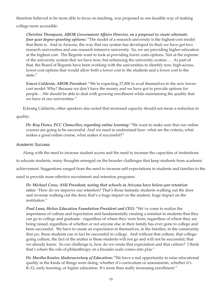therefore believed to be more able to focus on teaching, was proposed as one feasible way of making

college more accessible:

*Christine Thompson, ABOR Government Affairs Director, on a proposal to create alternate four year degree-granting options:* "The model of a research university is the highest-cost model that there is. And in Arizona, the way that our system has developed (is that) we have got two research universities and one research intensive university. So, we are providing higher education at the highest cost. The Regents want to look at providing lower costs options. Not at the expense of the university system that we have now, but enhancing the university system…. As part of that, the Board of Regents have been working with the universities to identify new, high-access, lower-cost options that would allow both a lower cost to the students and a lower cost to the state."

*Ernest Calderón, ABOR President:* "We're expecting 27,000 to avail themselves to the new lowercost model. Why? Because we don't have the money and we have got to provide options for people….We should be able to deal with growing enrollment while maintaining the quality that we have at our universities."

Echoing Calderón, other speakers also noted that increased capacity should not mean a reduction in

## quality:

*Dr. Roy Flores, PCC Chancellor, regarding online learning:* "We want to make sure that our online courses are going to be successful. And we need to understand how: what are the criteria, what makes a good online course, what makes it successful?"

## *Academic Success.*

Along with the need to increase student access and the need to increase the capacities of institutions

to educate students, many thoughts emerged on the broader challenges that keep students from academic

achievement. Suggestions ranged from the need to increase self-expectations in students and families to the

need to provide more effective recruitment and retention programs:

*Dr. Michael Crow, ASU President, noting that schools in Arizona have below-par retention*  rates: "How do we improve our retention? That's those fantastic students walking out the door and revenue walking out the door, that's a huge impact on the student, huge impact on the institution."

*Paul Luna, Helios Education Foundation President and CEO:* "We've come to realize the importance of culture and expectation and fundamentally creating a mindset in students that they can go to college and graduate - regardless of where they were born, regardless of where they are being raised, regardless of whether or not anyone else in their family has ever gone to college and been successful. We have to create an expectation in themselves, in the families, in the community that *yes*, these students can in fact be successful in college. And without that culture, that collegegoing culture, the fact of the matter is these students will not go and will not be successful; that we already know. So our challenge is, how do we create that expectation and that culture? I think that's where the role of philanthropy on a broader scale comes into play."

*Dr. Martha Kanter, Undersecretary of Education:* "We have a real opportunity to raise educational quality in the kinds of things were doing, whether it's curriculum or assessments, whether it's K-12, early learning, or higher education. It's more than really increasing enrollment."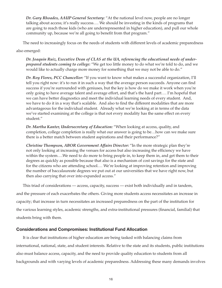*Dr. Gary Rhoades, AAUP General Secretary:* "At the national level now, people are no longer talking about access; it's really success…. We should be investing in the kinds of programs that are going to reach those kids (who are underrepresented in higher education), and pull our whole community up, because we're all going to benefit from that program."

The need to increasingly focus on the needs of students with different levels of academic preparedness also emerged:

*Dr. Joaquin Ruiz, Executive Dean of CLAS at the UA, referencing the educational needs of underprepared students coming to college:* "We get too little money to do what we're told to do, and we would like to actually charge more money for something that we may not be able to do."

*Dr. Roy Flores, PCC Chancellor:* "If you want to know what makes a successful organization, I'll tell you right now: it's to run it in such a way that the average person succeeds. Anyone can find success if you're surrounded with geniuses, but the key is how do we make it work when you're only going to have average talent and average effort, and that's the hard part…. I'm hopeful that we can have better diagnostics and meet the individual learning needs of every student. And, we have to do it in a way that's scalable. And also to find the different modalities that are more advantageous for the individual student. Already what we're looking at in terms of the data we've started examining at the college is that not every modality has the same effect on every student."

*Dr. Martha Kanter, Undersecretary of Education:* "When looking at access, quality, and completion, college completion is really what our answer is going to be…how can we make sure there is a better match between student aspirations and their performance?"

*Christine Thompson, ABOR Government Affairs Director:* "In the more strategic plan they're not only looking at increasing the venues for access but also increasing the efficiency we have within the system….We need to do more to bring people in, to keep them in, and get them to their degrees as quickly as possible because that also is a mechanism of cost savings for the state and for the citizens who are attending school.… We're looking at improving retention and improving the number of baccalaureate degrees we put out at our universities that we have right now, but then also carrying that over into expanded access."

This triad of considerations — access, capacity, success — exist both individually and in tandem, and the pressure of each exacerbates the others. Giving more students access necessitates an increase in capacity; that increase in turn necessitates an increased preparedness on the part of the institution for the various learning styles, academic strengths, and extra-institutional pressures (financial, familial) that students bring with them.

## **Considerations and Compromises: Institutional Fund Allocation**

It is clear that institutions of higher education are being tasked with balancing claims from international, national, state, and student interests. Relative to the state and its students, public institutions also must balance access, capacity, and the need to provide quality education to students from all backgrounds and with varying levels of academic preparedness. Addressing these many demands involves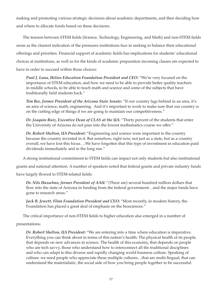making and promoting various strategic decisions about academic departments, and then deciding how and where to allocate funds based on these decisions.

The tension between STEM fields (Science, Technology, Engineering, and Math) and non-STEM fields arose as the clearest indication of the pressures institutions face in seeking to balance their educational offerings and priorities. Financial support of academic fields has implications for students' educational choices at institutions, as well as for the kinds of academic preparation incoming classes are expected to have in order to succeed within those choices:

*Paul J. Luna, Helios Education Foundation President and CEO:* "We're very focused on the importance of STEM education, and how we need to be able to provide better quality teachers in middle schools, to be able to teach math and science and some of the subjects that have traditionally held students back."

*Tim Bee, former President of the Arizona State Senate:* "If our country lags behind in an area, it's an area of science, math, engineering. And it's important to work to make sure that our country is on the cutting edge of things if we are going to maintain our competitiveness."

*Dr. Joaquin Ruiz, Executive Dean of CLAS at the UA:* "Thirty percent of the students that enter the University of Arizona do not pass into the lowest mathematics course we offer."

*Dr. Robert Shelton, UA President:* "Engineering and science were important to the country because the country invested in it. But somehow, right now, not just as a state, but as a country overall, we have lost this focus….We have forgotten that this type of investment in education paid dividends immediately and in the long run."

A strong institutional commitment to STEM fields can impact not only students but also institutional

grants and national attention. A number of speakers noted that federal grants and private industry funds

have largely flowed to STEM-related fields:

*Dr. Nils Hasselmo, former President of AAU:* "(There are) several hundred million dollars that flow into the state of Arizona in funding from the federal government...and the major funds have gone to research areas."

*Jack B. Jewett, Flinn Foundation President and CEO:* "Most recently, in modern history, the Foundation has placed a great deal of emphasis on the biosciences."

The critical importance of non-STEM fields to higher education also emerged in a number of

#### presentations:

*Dr. Robert Shelton, UA President:* "We are entering into a time where education is imperative. Everything you can think about in terms of this nation's health: The physical health of its people, that depends on new advances in science. The health of this economy, that depends on people who are tech savvy, those who understand how to interconnect all the traditional disciplines and who can adapt to this diverse and rapidly changing world business culture. Speaking of culture: we need people who appreciate these multiple cultures…that are multi-lingual, that can understand the materialistic, the social side of how you bring people together to be successful.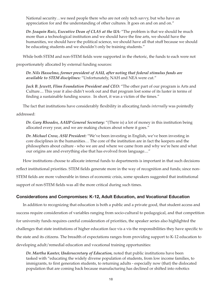National security…we need people there who are not only tech savvy, but who have an appreciation for and the understanding of other cultures. It goes on and on and on."

*Dr. Joaquin Ruiz, Executive Dean of CLAS at the UA:* "The problem is that we should be much more than a technological institution and we should have the fine arts, we should have the humanities, we should have the political science, we should have all that stuff because we should be educating students and we shouldn't only be training students."

While both STEM and non-STEM fields were supported in the rhetoric, the funds to each were not

proportionately allocated by external funding sources:

*Dr. Nils Hasselmo, former president of AAU, after noting that federal stimulus funds are available to STEM disciplines:* "Unfortunately, NAH and NEA were cut."

*Jack B. Jewett, Flinn Foundation President and CEO:* "The other part of our program is Arts and Culture.... This year it also didn't work out and that program lost some of its luster in terms of finding a sustainable funding source. In short, it was a victim of the times."

The fact that institutions have considerably flexibility in allocating funds *internally* was pointedly

addressed:

*Dr. Gary Rhoades, AAUP General Secretary:* "(There is) a lot of money in this institution being allocated every year, and we are making choices about where it goes."

*Dr. Michael Crow, ASU President:* "We've been investing in English, we've been investing in core disciplines in the humanities… The core of the institution are in fact the keepers and the philosophers about culture - who we are and where we came from and why we're here and what our origins are and everything else that has evolved from language...."

How institutions choose to allocate internal funds to departments is important in that such decisions reflect institutional priorities. STEM fields generate more in the way of recognition and funds; since non-STEM fields are more vulnerable in times of economic crisis, some speakers suggested that institutional support of non-STEM fields was all the more critical during such times.

## **Considerations and Compromises: K-12, Adult Education, and Vocational Education**

In addition to recognizing that education is both a public and a private good, that student access and success require consideration of variables ranging from socio-cultural to pedagogical, and that competition for university funds requires careful consideration of priorities, the speaker series also highlighted the challenges that state institutions of higher education face vis a vis the responsibilities they have specific to the state and its citizens. The breadth of expectations ranges from providing support to K-12 education to developing adult/remedial education and vocational training opportunities:

*Dr. Martha Kanter, Undersecretary of Education,* noted that public institutions have been tasked with "educating the widely diverse population of students, from low income families, to immigrants, to first generation students, to returning adults - especially now (that) the dislocated population that are coming back because manufacturing has declined or shifted into robotics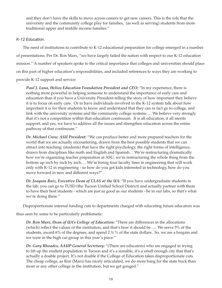and they don't have the skills to move across careers to get new careers. This is the role that the university and the community college play for families, (as well as serving) students from more traditional upper and middle income families."

## *K-12 Education.*

The need of institutions to contribute to K-12 educational preparation for college emerged in a number of presentations. Per Dr. Ron Marx, "we have largely failed the nation with respect to our K-12 education mission." A number of speakers spoke to the critical importance that colleges and universities should place on this part of higher education's responsibilities, and included references to ways they are working to

provide K-12 support and service:

*Paul J. Luna, Helios Education Foundation President and CEO:* "In my experience, there is nothing more powerful in helping someone to understand the importance of early care and education than if you have a University President telling the story of how important they believe it is to focus on early care. Or to have individuals involved in the K-12 system talk about how important it is for their students to know and understand that they can in fact go to college, and link with the university systems and the community college systems…. We believe very strongly that it's not a competition within that education continuum. It is all education, it all merits support, and yes, we have to address all the issues and strengthen education across the entire pathway of that continuum."

*Dr. Michael Crow, ASU President:* "We can produce better and more prepared teachers for the world that we are actually encountering, drawn from the best possible students that we can attract into teaching: (students) that have the right psychology, the right forms of intelligence, drawn from disciplines like math and English and Spanish… We're restructuring dramatically how we're organizing teacher preparation at ASU, we're restructuring the whole thing from the bottom up inch by inch by inch…. We're hiring four faculty lines in engineering that will work only with K-12 in engineering - so how do you get kids interested in technology, how do you move forward in new and different ways?"

*Dr. Joaquin Ruiz, Executive Dean of CLAS at the UA:* "If you have undergraduate students in the lab, you can go to TUSD (the Tucson Unified School District) and actually partner with them to have their best students - which are just as good as our students - be in our labs, so that's what we're doing there."

Disproportionate internal funding cuts to departments charged with educating future educators was

thus seen by some to be particularly problematic:

*Dr. Ron Marx, Dean of UA's College of Education:* "There are differences in the allocations (which) reflect the values of the institution, and that's how it should be…. We serve 5% of the students, award 6% of the degrees, and spend 2 ½ % of the state dollars. So, we are a bargain and we were in the high cut group in this year's piece."

*Dr. Gary Rhoades, AAUP General Secretary:* "(There are educators) who are engaged in trying to lift up the student population in Tucson and it's a sizeable, it's a small enough city that that's actually a doable project. It's not doable if the College of Education takes disproportionate cuts. The cheap college, as Ron (Marx) has nicely articulated, we do more bang for the state buck than most or any other college in the institution, but we get gouged."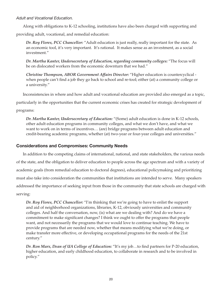*Adult and Vocational Education.*

Along with obligations to K-12 schooling, institutions have also been charged with supporting and

providing adult, vocational, and remedial education:

*Dr. Roy Flores, PCC Chancellor:* "Adult education is just really, really important for the state. As an economic tool, it's very important. It's rational. It makes sense as an investment, as a social investment."

*Dr. Martha Kanter, Undersecretary of Education, regarding community colleges:* "The focus will be on dislocated workers from the economic downturn that we had."

*Christine Thompson, ABOR Government Affairs Director:* "Higher education is countercyclical when people can't find a job they go back to school and re-tool; either (at) a community college or a university."

Inconsistencies in where and how adult and vocational education are provided also emerged as a topic,

particularly in the opportunities that the current economic crises has created for strategic development of

programs:

*Dr. Martha Kanter, Undersecretary of Education:* "(Some) adult education is done in K-12 schools, other adult education programs in community colleges, and what we don't have, and what we want to work on in terms of incentives… (are) bridge programs between adult education and credit-bearing academic programs, whether (at) two-year or four-year colleges and universities."

## **Considerations and Compromises: Community Needs**

In addition to the competing claims of international, national, and state stakeholders, the various needs of the state, and the obligation to deliver education to people across the age spectrum and with a variety of academic goals (from remedial education to doctoral degrees), educational policymaking and prioritizing must also take into consideration the communities that institutions are intended to serve. Many speakers addressed the importance of seeking input from those in the community that state schools are charged with serving:

*Dr. Roy Flores, PCC Chancellor:* "I'm thinking that we're going to have to enlist the support and aid of neighborhood organizations, libraries, K-12, obviously universities and community colleges. And half the conversation, now, (is) what are we dealing with? And do we have a commitment to make significant changes? I think we ought to offer the programs that people want, and not necessarily the programs that we would love to continue teaching. We have to provide programs that are needed now, whether that means modifying what we're doing, or make transfer more effective, or developing occupational programs for the needs of the 21st century."

*Dr. Ron Marx, Dean of UA College of Education:* "It's my job…to find partners for P-20 education, higher education, and early childhood education, to collaborate in research and to be involved in policy."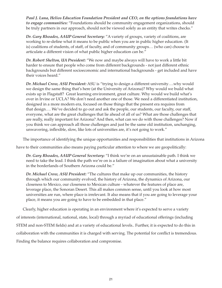*Paul J. Luna, Helios Education Foundation President and CEO, on the options foundations have to engage communities:* "Foundations should be community engagement organizations, should be truly partners in our approach, should not be viewed solely as an entity that writes checks."

*Dr. Gary Rhoades, AAUP General Secretary:* "A variety of groups, variety of coalitions, are working to re-define what it means to be public when you are in public higher education. (It is) coalitions of students, of staff, of faculty, and of community groups… (who can) choose to articulate a different vision of what public higher education can be."

*Dr. Robert Shelton, UA President:* "We now and maybe always will have to work a little bit harder to ensure that people who come from different backgrounds - not just different ethnic backgrounds but different socioeconomic and international backgrounds - get included and have their voices heard."

*Dr. Michael Crow, ASU President:* ASU is "trying to design a different university….why would we design the same thing that's here (at the University of Arizona)? Why would we build what exists up in Flagstaff? Great learning environment, great culture. Why would we build what's over in Irvine or UCLA? We don't need another one of those. We need a differentiated institution, designed in a more modern era, focused on those things that the present era requires from that design…. We've decided to go out and ask the people, our students, our faculty, our staff, everyone, what are the great challenges that lie ahead of all of us? What are those challenges that are really, really important for Arizona? And then, what can we do with those challenges? Now if you think we can approach all those challenges and just be the same old institution, unchanging, unwavering, inflexible, slow, like lots of universities are, it's not going to work."

The importance of identifying the unique opportunities and responsibilities that institutions in Arizona

have to their communities also means paying particular attention to where we are geopolitically:

*Dr. Gary Rhoades, AAUP General Secretary:* "I think we're on an unsustainable path. I think we need to take the lead. I think the path we're on is a failure of imagination about what a university in the borderlands of Southern Arizona could be."

*Dr. Michael Crow, ASU President:* "The cultures that make up our communities, the history through which our community evolved, the history of Arizona, the dynamics of Arizona, our closeness to Mexico, our closeness to Mexican culture - whatever the features of place are, leverage place, the Sonoran Desert. This all makes common sense, until you look at how most universities are run, where place is irrelevant. It also means that if you are going to leverage your place, it means you are going to have to be embedded in that place."

Clearly, higher education is operating in an environment where it's expected to serve a variety of interests (international, national, state, local) through a myriad of educational offerings (including STEM and non-STEM fields) and at a variety of educational levels.. Further, it is expected to do this in collaboration with the communities it is charged with serving. The potential for conflict is tremendous. Finding the balance requires collaboration and compromise.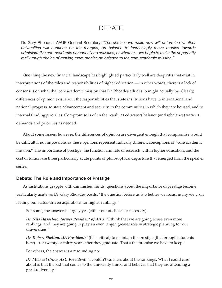## DEBATE

Dr. Gary Rhoades, AAUP General Secretary: *"The choices we make now will determine whether universities will continue on the margins, on balance to increasingly move monies towards administrative non-academic personnel and activities, or whether…we begin to make the apparently really tough choice of moving more monies on balance to the core academic mission."* 

One thing the new financial landscape has highlighted particularly well are deep rifts that exist in interpretations of the roles and responsibilities of higher education — in other words, there is a lack of consensus on what that core academic mission that Dr. Rhoades alludes to might actually **be**. Clearly, differences of opinion exist about the responsibilities that state institutions have to international and national progress, to state advancement and security, to the communities in which they are housed, and to internal funding priorities. Compromise is often the result, as educators balance (and rebalance) various demands and priorities as needed.

About some issues, however, the differences of opinion are divergent enough that compromise would be difficult if not impossible, as these opinions represent radically different conceptions of "core academic mission." The importance of prestige, the function and role of research within higher education, and the cost of tuition are three particularly acute points of philosophical departure that emerged from the speaker series.

#### **Debate: The Role and Importance of Prestige**

As institutions grapple with diminished funds, questions about the importance of prestige become particularly acute; as Dr. Gary Rhoades posits, "the question before us is whether we focus, in my view, on feeding our status-driven aspirations for higher rankings."

For some, the answer is largely yes (either out of choice or necessity):

*Dr. Nils Hasselmo, former President of AAU:* "I think that we are going to see even more rankings, and they are going to play an even larger, greater role in strategic planning for our universities."

*Dr. Robert Shelton, UA President:* "(It is critical) to maintain the prestige (that brought students here)...for twenty or thirty years after they graduate. That's the promise we have to keep."

For others, the answer is a resounding no:

*Dr. Michael Crow, ASU President:* "I couldn't care less about the rankings. What I could care about is that the kid that comes to the university thinks and believes that they are attending a great university."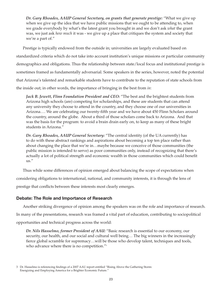*Dr. Gary Rhoades, AAUP General Secretary, on grants that generate prestige:* "What we give up when we give up the idea that we have public missions that we ought to be attending to, when we grade everybody by what's the latest grant you brought in and we don't ask *what* the grant was, we just ask *how much* it was - we give up a place that critiques the system and society that we're a part of."

Prestige is typically endowed from the outside in; universities are largely evaluated based on standardized criteria which do not take into account institution's unique missions or particular community demographics and obligations. Thus the relationship between state/local focus and institutional prestige is sometimes framed as fundamentally adversarial. Some speakers in the series, however, noted the potential that Arizona's talented and remarkable students have to contribute to the reputation of state schools from the inside out; in other words, the importance of bringing in the best from *in*:

*Jack B. Jewett, Flinn Foundation President and CEO:* "The best and the brightest students from Arizona high schools (are) competing for scholarships, and these are students that can attend any university they choose to attend in the country, and they choose one of our universities in Arizona…. We are celebrating our twenty-fifth year and we have about 450 Flinn Scholars around the country, around the globe. About a third of those scholars come back to Arizona. And that was the basis for the program: to avoid a brain drain early on, to keep as many of these bright students in Arizona."

*Dr. Gary Rhoades, AAUP General Secretary:* "The central identity (of the UA currently) has to do with these abstract rankings and aspirations about becoming a top ten place rather than about changing the place that we're in…maybe because we conceive of those communities (the public mission is intended to serve) as poor communities only, instead of recognizing that there's actually a lot of political strength and economic wealth in those communities which could benefit us."

Thus while some differences of opinion emerged about balancing the scope of expectations when considering obligations to international, national, and community interests, it is through the lens of prestige that conflicts between these interests most clearly emerges.

## **Debate: The Role and Importance of Research**

Another striking divergence of opinion among the speakers was on the role and importance of research.

In many of the presentations, research was framed a vital part of education, contributing to sociopolitical

opportunities and technical progress across the world:

*Dr. Nils Hasselmo, former President of AAU:* "Basic research is essential to our economy, our security, our health, and our social and cultural well being… The big winners in the increasingly fierce global scramble for supremacy…will be those who develop talent, techniques and tools, who advance where there is no competition."<sup>3</sup>

<sup>3</sup> Dr. Hasselmo is referencing findings of a 2007 AAU report entitled "Rising Above the Gathering Storm: Energizing and Employing America for a Brighter Economic Future."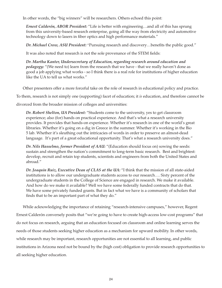In other words, the "big winners" will be researchers. Others echoed this point:

*Ernest Calderón, ABOR President:* "Life is better with engineering…and all of this has sprung from this university-based research enterprise, going all the way from electricity and automotive technology down to lasers in fiber optics and high performance materials."

*Dr. Michael Crow, ASU President:* "Pursuing research and discovery…benefits the public good."

It was also noted that research is not the sole provenance of the STEM fields:

*Dr. Martha Kanter, Undersecretary of Education, regarding research around education and pedagogy:* "(We need to) learn from the research that we have - that we really haven't done as good a job applying what works - so I think there is a real role for institutions of higher education like the UA to tell us what works."

Other presenters offer a more forceful take on the role of research in educational policy and practice.

To them, research is not simply one (supporting) facet of education; it *is* education, and therefore cannot be

divorced from the broader mission of colleges and universities:

*Dr. Robert Shelton, UA President:* "Students come to the university, yes to get classroom experience; also (for) hands on practical experience. And that's what a research university provides. It provides that hands-on experience. Whether it's research in one of the world's great libraries. Whether it's going on a dig in Greece in the summer. Whether it's working in the Bio 5 lab. Whether it's sleuthing out the intricacies of words in order to preserve an almost-dead language. It's part of a great educational opportunity. That's what a research university does."

*Dr. Nils Hasselmo, former President of AAU:* "(Education should focus on) sowing the seeds: sustain and strengthen the nation's commitment to long-term basic research. Best and brightest: develop, recruit and retain top students, scientists and engineers from both the United States and abroad."

*Dr. Joaquin Ruiz, Executive Dean of CLAS at the UA:* "I think that the mission of all state-aided institutions is to allow our undergraduate students access to our research…. Sixty percent of the undergraduate students in the College of Science are engaged in research. We make it available. And how do we make it available? Well we have some federally funded contracts that do that. We have some privately funded grants. But in fact what we have is a community of scholars that finds that to be an important part of what they do."

While acknowledging the importance of retaining "research-intensive campuses," however, Regent

Ernest Calderón conversely posits that "we're going to have to create high-access low-cost programs" that do not focus on research, arguing that an education focused on classroom and online learning serves the needs of those students seeking higher education as a mechanism for upward mobility. In other words, while research may be important, research opportunities are not essential to all learning, and public institutions in Arizona need not be bound by the (high cost) obligation to provide research opportunities to all seeking higher education.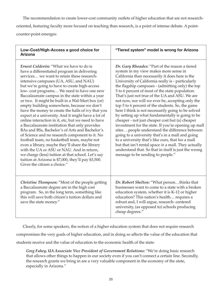The recommendation to create lower-cost community outlets of higher education that are not researchoriented, featuring faculty more focused on teaching than research, is a point of intense debate. A pointcounter-point emerges:

| Low-Cost/High-Access a good choice for<br><b>Arizona</b>                                                                                                                                                                                                                                                                                                                                                                                                                                                                                                                                                                                                                                                                                                                                                                                                                                                                                                                                                                                              | "Tiered system" model is wrong for Arizona                                                                                                                                                                                                                                                                                                                                                                                                                                                                                                                                                                                                                                                                                                                                                                                                                                                                                                                                                           |
|-------------------------------------------------------------------------------------------------------------------------------------------------------------------------------------------------------------------------------------------------------------------------------------------------------------------------------------------------------------------------------------------------------------------------------------------------------------------------------------------------------------------------------------------------------------------------------------------------------------------------------------------------------------------------------------------------------------------------------------------------------------------------------------------------------------------------------------------------------------------------------------------------------------------------------------------------------------------------------------------------------------------------------------------------------|------------------------------------------------------------------------------------------------------------------------------------------------------------------------------------------------------------------------------------------------------------------------------------------------------------------------------------------------------------------------------------------------------------------------------------------------------------------------------------------------------------------------------------------------------------------------------------------------------------------------------------------------------------------------------------------------------------------------------------------------------------------------------------------------------------------------------------------------------------------------------------------------------------------------------------------------------------------------------------------------------|
| Ernest Calderón: "What we have to do is<br>have a differentiated program in delivering<br>services we want to retain these research-<br>intensive campuses (UA, ASU, and NAU)<br>but we're going to have to create high-access<br>low-cost programs We need to have one new<br>Baccalaureate campus in the state within a year<br>or two. It might be built in a Wal-Mart box (or)<br>empty building somewhere, because we don't<br>have the money to create the halls of ivy that you<br>expect at a university. And it might have a lot of<br>online interaction in it, etc, but we need to have<br>a Baccalaureate institution that only provides<br>BAs and BSs, Bachelor's of Arts and Bachelor's<br>of Science and no research component to it. No<br>football team, no basketball team, maybe not<br>even a library, maybe they'll share the library<br>with the UA or ASU or NAU. And in return,<br>we charge (less) tuition at that school. Let's say<br>tuition at Arizona is \$7,000, they'll pay \$3,500.<br>Gives the citizen a choice." | Dr. Gary Rhoades: "Part of the reason a tiered<br>system in my view makes more sense in<br>California than necessarily it does here is the<br>University of California really is - particularly<br>the flagship campuses - (admitting only) the top<br>5 to 6 percent of most of the state population.<br>That's just not true of the UA and ASU. We are<br>not now, nor will we ever be, accepting only the<br>top 5 to 6 percent of the students. So, the game<br>here I think is not necessarily going to be solved<br>by setting up what fundamentally is going to be<br>cheaper - not just cheaper cost but (a) cheaper<br>investment for the state. If you're opening up mall<br>sites  people understand the difference between<br>going to a university that's in a mall and going<br>to a university that's like ours, that has a mall<br>but that isn't rental space in a mall. They actually<br>understand that. So that in itself is just the wrong<br>message to be sending to people." |
| Christine Thompson: "Most of the people getting<br>a Baccalaureate degree are in the high cost<br>program. So, in the long term, something like<br>this will save both citizen's tuition dollars and<br>save the state money."                                                                                                                                                                                                                                                                                                                                                                                                                                                                                                                                                                                                                                                                                                                                                                                                                        | Dr. Robert Shelton: "What personthinks that<br>businesses want to come to a state with a broken<br>education system, whether it is K-12 or higher<br>education? This nation's health requires a<br>robust and, I will argue, research-centered<br>university, (as opposed to) schools producing<br>cheap degrees."                                                                                                                                                                                                                                                                                                                                                                                                                                                                                                                                                                                                                                                                                   |

Clearly, for some speakers, the notion of a higher education system that does not require research

compromises the very goals of higher education, and in doing so affects the value of the education that

students receive and the value of education to the economic health of the state:

*Greg Fahey, UA Associate Vice President of Government Relations:* "We're doing basic research that allows other things to happen in our society even if you can't connect a certain line. Secondly, the research grants we bring in are a very valuable component in the economy of the state, especially in Arizona."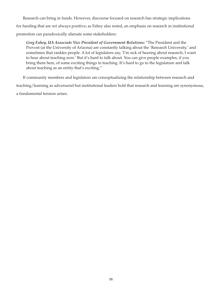Research can bring in funds. However, discourse focused on research has strategic implications for funding that are *not* always positive; as Fahey also noted, an emphasis on research in institutional promotion can paradoxically alienate some stakeholders:

*Greg Fahey, UA Associate Vice President of Government Relations:* "The President and the Provost (at the University of Arizona) are constantly talking about the 'Research University,' and sometimes that rankles people. A lot of legislators say, 'I'm sick of hearing about research, I want to hear about teaching now.' But it's hard to talk about. You can give people examples, if you bring them here, of some exciting things in teaching. It's hard to go to the legislature and talk about teaching as an entity that's exciting."

If community members and legislators are conceptualizing the relationship between research and teaching/learning as adversarial but institutional leaders hold that research and learning are synonymous, a fundamental tension arises.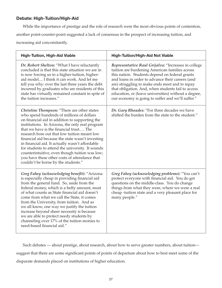## **Debate: High-Tuition/High-Aid**

While the importance of prestige and the role of research were the most obvious points of contention, another point-counter-point suggested a lack of consensus in the prospect of increasing tuition, and increasing aid concomitantly.

| <b>High-Tuition, High-Aid Viable</b>                                                                                                                                                                                                                                                                                                                                                                                                                                                                                                                                                          | <b>High-Tuition/High-Aid Not Viable</b>                                                                                                                                                                                                                                                                                                                                                                                          |
|-----------------------------------------------------------------------------------------------------------------------------------------------------------------------------------------------------------------------------------------------------------------------------------------------------------------------------------------------------------------------------------------------------------------------------------------------------------------------------------------------------------------------------------------------------------------------------------------------|----------------------------------------------------------------------------------------------------------------------------------------------------------------------------------------------------------------------------------------------------------------------------------------------------------------------------------------------------------------------------------------------------------------------------------|
| Dr. Robert Shelton: "What I have reluctantly<br>concluded is that this state situation we are in<br>is now forcing us to a higher-tuition, higher-<br>aid model I think it can work. And let me<br>tell you why: over the last three years the debt<br>incurred by graduates who are residents of this<br>state has virtually remained constant in spite of<br>the tuition increases."                                                                                                                                                                                                        | Representative Raul Grijalva: "Increases in college<br>tuition are burdening American families across<br>this nation. Students depend on federal grants<br>and loans in order to advance their careers (and<br>are) struggling to make ends meet and to repay<br>that obligation. And, when students fail to access<br>education, or (leave universities) without a degree,<br>our economy is going to suffer and we'll suffer." |
| Christine Thompson: "There are other states<br>who spend hundreds of millions of dollars<br>on financial aid in addition to supporting the<br>institutions. In Arizona, the only real program<br>that we have is the financial trust The<br>research bore out that low tuition meant low<br>financial aid because the state wasn't investing<br>in financial aid. It actually wasn't affordable<br>for students to attend the university. It sounds<br>counterintuitive, even though tuition was low;<br>you have these other costs of attendance that<br>couldn't be borne by the students." | Dr. Gary Rhoades: "For three decades we have<br>shifted the burden from the state to the student."                                                                                                                                                                                                                                                                                                                               |
| Greg Fahey (acknowledging benefit): "Arizona<br>is especially cheap in providing financial aid<br>from the general fund. So, aside from the<br>federal money, which is a hefty amount, most<br>of what counts as State financial aid doesn't<br>come from what we call the State, it comes<br>from the University, from tuition. And as<br>we all know, one way we justify the tuition<br>increase beyond sheer necessity is because<br>we are able to protect needy students by<br>channeling over 17% of the tuition monies to<br>need-based financial aid."                                | Greg Fahey (acknowledging problems): "You can't<br>protect everyone with financial aid. You do get<br>questions on the middle-class. You do change<br>things from what they were, where we were a real<br>cheap -tuition state and a very pleasant place for<br>many people."                                                                                                                                                    |

Such debates — about prestige, about research, about how to serve greater numbers, about tuition suggest that there are some significant points of points of departure about how to best meet some of the disparate demands placed on institutions of higher education.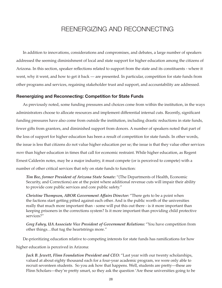## REENERGIZING AND RECONNECTING

In addition to innovations, considerations and compromises, and debates, a large number of speakers addressed the seeming diminishment of local and state support for higher education among the citizens of Arizona. In this section, speaker reflections related to support from the state and its constituents - where it went, why it went, and how to get it back — are presented. In particular, competition for state funds from other programs and services, regaining stakeholder trust and support, and accountability are addressed.

#### **Reenergizing and Reconnecting: Competition for State Funds**

As previously noted, some funding pressures and choices come from within the institution, in the ways administrators choose to allocate resources and implement differential internal cuts. Recently, significant funding pressures have also come from outside the institution, including drastic reductions in state funds, fewer gifts from grantors, and diminished support from donors. A number of speakers noted that part of the loss of support for higher education has been a result of competition for state funds. In other words, the issue is less that citizens do not value higher education per se; the issue is that they value other services *more* than higher education in times that call for economic restraint. While higher education, as Regent Ernest Calderón notes, may be a major industry, it must compete (or is perceived to compete) with a number of other critical services that rely on state funds to function:

*Tim Bee, former President of Arizona State Senate:* "(The Departments of Health, Economic Security, and Corrections) are at the point where additional revenue cuts will impair their ability to provide core public services and core public safety."

*Christine Thompson, ABOR Government Affairs Director:* "There gets to be a point when the factions start getting pitted against each other. And is the public worth of the universities really that much more important than - some will put this out there - is it more important than keeping prisoners in the corrections system? Is it more important than providing child protective services?"

*Greg Fahey, UA Associate Vice President of Government Relations:* "You have competition from other things…that tug the heartstrings more."

De-prioritizing education relative to competing interests for state funds has ramifications for how

higher education is perceived in Arizona:

*Jack B. Jewett, Flinn Foundation President and CEO:* "Last year with our twenty scholarships, valued at about eighty thousand each for a four-year academic program, we were only able to recruit seventeen students. So you ask how that happens. Well, students are pretty—these are Flinn Scholars—they're pretty smart, so they ask the question 'Are these universities going to be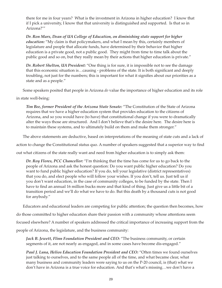there for me in four years? What is the investment in Arizona in higher education? I know that if I pick a university, I know that that university is distinguished and supported. Is that so in Arizona?'"

*Dr. Ron Marx, Dean of UA College of Education, on diminishing state support for higher education:* "My claim is that policymakers, and what I mean by this, certainly members of legislature and people that allocate funds, have determined by their behavior that higher education is a private good, not a public good. They might from time to time talk about the public good and so on, but they really mean by their actions that higher education is private."

*Dr. Robert Shelton, UA President:* "One thing is for sure, it is impossible not to see the damage that this economic situation is…causing - problems of the state. It is both significant and deeply troubling, not just for the numbers; this is important for what it signifies about our priorities as a state and as a people."

Some speakers posited that people in Arizona *do* value the importance of higher education and its role

in state well-being:

*Tim Bee, former President of the Arizona State Senate:* "The Constitution of the State of Arizona requires that we have a higher education system that provides education to the citizens of Arizona, and so you would have (to have) that constitutional change if you were to dramatically alter the ways those are structured. And I don't believe that's the desire here. The desire here is to maintain these systems, and to ultimately build on them and make them stronger."

The above statements are deductive, based on interpretations of the meaning of state cuts and a lack of

action to change the Constitutional status quo. A number of speakers suggested that a superior way to find

out what citizens of the state really want and need from higher education is to simply ask them:

*Dr. Roy Flores, PCC Chancellor:* "I'm thinking that the time has come for us to go back to the people of Arizona and ask the honest question: Do you want public higher education? Do you want to fund public higher education? If you do, tell your legislative (district representatives) that you do, and elect people who will follow your wishes. If you don't, tell us. Just tell us if you don't want education, in the case of community colleges, to be funded by the state. Then I have to find an annual 16 million bucks more and that kind of thing. Just give us a little bit of a transition period and we'll do what we have to do. But this death by a thousand cuts is not good for anybody."

Educators and educational leaders are competing for public attention; the question then becomes, how

do those committed to higher education share their passion with a community whose attentions seem

focused elsewhere? A number of speakers addressed the critical importance of increasing support from the

people of Arizona, the legislature, and the business community:

*Jack B. Jewett, Flinn Foundation President and CEO:* "The business community, or certain segments of it, are not nearly as engaged, and in some cases have become dis-engaged."

*Paul J. Luna, Helios Education Foundation President and CEO:* "Often times we found ourselves just talking to ourselves, and to the same people all of the time, and what became clear, what many business and community leaders were saying to us on the P-20 council, is (that) what we don't have in Arizona is a true voice for education. And that's what's missing…we don't have a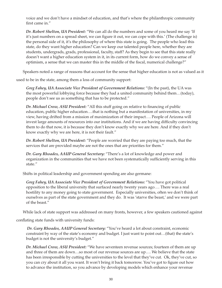voice and we don't have a mindset of education, and that's where the philanthropic community first came in."

*Dr. Robert Shelton, UA President:* "We can all do the numbers and some of you heard me say 'If it's just numbers on a spread sheet, we can figure it out, we can cope with this.' (The challenge is) the personal side of it, it's the philosophy of where this state is going. The people who lead this state, do they want higher education? Can we keep our talented people here, whether they are students, undergrads, grads, professional, faculty, staff? As they begin to see that this state really doesn't want a higher education system in it, in its current form, how do we convey a sense of optimism, a sense that we can master this in the middle of the fiscal, numerical challenge?"

Speakers noted a range of reasons that account for the sense that higher education is not as valued as it

used to be in the state, among them a loss of community support:

*Greg Fahey, UA Associate Vice President of Government Relations:* "(In the past), the UA was the most powerful lobbying force because they had a united community behind them…(today), people don't see us as something that has to be protected."

*Dr. Michael Crow, ASU President:* "All this stuff going on relative to financing of public education, public higher education….that is nothing but a manifestation of universities, in my view, having drifted from a mission of maximization of their impact…. People of Arizona will invest large amounts of resources into our institutions. And if we are having difficulty convincing them to do that now, it is because they don't know exactly why we are here. And if they don't know exactly why we are here, it is not their fault."

*Dr. Robert Shelton, UA President:* "People are worried that they are paying too much, that the services that are provided maybe are not the ones that are priorities for them."

*Dr. Gary Rhoades, AAUP General Secretary:* "There's a lot of knowledge and power and organization in the communities that we have not been systematically sufficiently serving in this state."

Shifts in political leadership and government spending are also germane:

*Greg Fahey, UA Associate Vice President of Government Relations:* "You have got political opposition to the liberal university that surfaced nearly twenty years ago…. There was a real hostility to any money going to state government. Especially universities, often we don't think of ourselves as part of the state government and they do. It was 'starve the beast,' and we were part of the beast."

While lack of state support was addressed on many fronts, however, a few speakers cautioned against

conflating state funds with university funds:

 *Dr. Gary Rhoades, AAUP General Secretary:* "You've heard a lot about constraint, economic constraint by way of the state's economy and budget. I just want to point out…(that) the state's budget is not the university's budget."

*Dr. Michael Crow, ASU President:* "We have seventeen revenue sources; fourteen of them are up and three of them are down…so most of our revenue sources are up…. We believe that the state has been irresponsible by cutting the universities to the level that they've cut. Ok, they've cut, so you can cry about it all you want. It won't bring it back tomorrow. You've got to figure out how to advance the institution, so you advance by developing models which enhance your revenue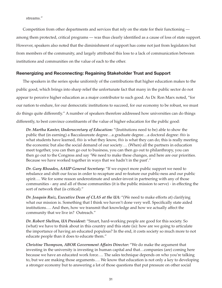#### streams."

Competition from other departments and services that rely on the state for their functioning among them protected, critical programs — was thus clearly identified as a cause of loss of state support. However, speakers also noted that the diminishment of support has come not just from legislators but from members of the community, and largely attributed this loss to a lack of communication between institutions and communities on the value of each to the other.

### **Reenergizing and Reconnecting: Regaining Stakeholder Trust and Support**

The speakers in the series spoke uniformly of the contributions that higher education makes to the public good, which brings into sharp relief the unfortunate fact that many in the public sector do not appear to perceive higher education as a major contributor to such good. As Dr. Ron Marx noted, "for our nation to endure, for our democratic institutions to succeed, for our economy to be robust, we must do things quite differently." A number of speakers therefore addressed how universities can do things differently, to best convince constituents of the value of higher education for the public good:

*Dr. Martha Kanter, Undersecretary of Education:* "(Institutions need to be) able to show the public that (in earning) a Baccalaureate degree…a graduate degree…a doctoral degree: *this* is what students have learned, *this* is what they know, *this* is what they can do; this is really meeting the economic but also the social demand of our society…. (When) all the partners in education meet together, you can then go out to business, you can then go out to philanthropy, you can then go out to the Congress and say 'We need to make these changes, and here are our priorities. Because we have worked together in ways that we hadn't in the past'."

*Dr. Gary Rhoades, AAUP General Secretary:* "If we expect more public support we need to rebalance and shift our focus in order to recapture and re-feature our public-ness and our public spirit…. We for some reason underestimate and under-invest in partnering with any of those communities - any and all of those communities (it is the public mission to serve) - in effecting the sort of network that (is critical)."

*Dr. Joaquin Ruiz, Executive Dean of CLAS at the UA:* "(We need to make efforts at) clarifying what our mission is. Something that I think we haven't done very well. Specifically state aided institutions…. And then, how we transmit that knowledge and how we actually affect the community that we live in? Outreach."

*Dr. Robert Shelton, UA President:* "Smart, hard-working people are good for this society. So (what) we have to think about in this country and this state (is): how are we going to articulate the importance of having an educated populous? In the end, it costs society so much more to not educate people than it does to educate them."

*Christine Thompson, ABOR Government Affairs Director:* "We do make the argument that investing in the university is investing in human capital and that…companies (are) coming here because we have an educated work force…. The sales technique depends on who you're talking to, but we are making those arguments…. We know that education is not only a key to developing a stronger economy but to answering a lot of those questions that put pressure on other social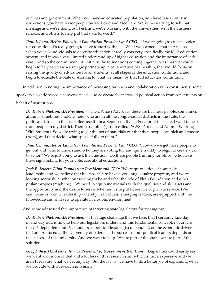services and government. When you have an educated population, you have less activity in corrections; you have fewer people on Medicaid and Medicare. We've been trying to sell that message and we're doing our best, and we're working with the universities, with the business schools, and others to help put that data forward."

*Paul J. Luna, Helios Education Foundation President and CEO:* "If we're going to create a voice for education, it's really going to have to start with us.... What we learned is that in Arizona when you ask individuals to describe education, it really was very specifically the K-12 education system, and it was a very limited understanding of higher education and the importance of early care. And so the commitment of, initially, the foundations coming together was that we would begin to help to create a strategic partnership, a collaborative partnership, that would focus on raising the quality of education for all students, at all stages of the education continuum, and begin to educate the State of Arizona to what we meant by that full education continuum."

In addition to noting the importance of increasing outreach and collaboration with constituents, some

speakers also addressed a converse need — to advocate for increased political action from constituents on

behalf of institutions:

*Dr. Robert Shelton, UA President:* "(The UA has) Advocats; these are business people, sometimes alumni, sometimes students here, who are in all the congressional districts in the state, the political districts in the state. Because if I'm a Representative or Senator of the state, I want to hear from people in my district. There is (another) group called PAWS, Parents and Alumni Working With Students. So we're trying to get this set of materials out that then people can pick and choose (from), and then decide what speaks fully to them."

*Paul J. Luna, Helios Education Foundation President and CEO: "How do we get more people to* get out and vote, to understand who they are voting for, and quite frankly to begin to create a call to action? We're just going to ask the question: Do these people (running for office), who have these signs asking for your vote, care about education?"

*Jack B. Jewett, Flinn Foundation President and CEO: "We're quite serious about civic* leadership, and we believe that it is possible to have a very huge quality program, and we're looking seriously at what our role might be and what the role of Flinn Foundation and other philanthropies (might be)....We need to equip individuals with the qualities and skills sets and the opportunity and the desire to serve, whether it's in public service or private service. (We can) focus on a civic leadership whereby individuals, emerging leaders, are equipped with the knowledge and skill sets to operate in a public environment."

And some addressed the importance of targeting state legislators for messaging:

*Dr. Robert Shelton, UA President:* "This huge challenge that we face, that I certainly face day in and day out, is how to help our legislators understand this fundamental concept: not only is the UA dependent, but *their* success as political leaders (is) dependent, on the economic drivers that are produced at the University of Arizona. The success of our political leaders depends on the success of this university. And we want to help. We are part of this state; we are part of the solution."

*Greg Fahey, UA Associate Vice President of Government Relations:* "Legislators could easily say we want a lot more of that and a lot less of this research stuff which is more expensive and we aren't real sure what we get anyway. But the fact is, we have to do a better job of explaining what we provide with a research university."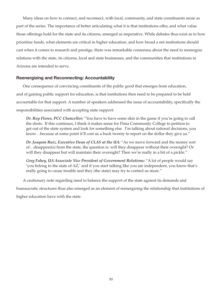Many ideas on how to connect, and reconnect, with local, community, and state constituents arose as part of the series. The importance of better articulating what it is that institutions offer, and what value those offerings hold for the state and its citizens, emerged as imperative. While debates thus exist as to how prioritize funds, what elements are critical in higher education, and how broad a net institutions should cast when it comes to research and prestige, there was remarkable consensus about the need to reenergize relations with the state, its citizens, local and state businesses, and the communities that institutions in Arizona are intended to serve.

### **Reenergizing and Reconnecting: Accountability**

One consequence of convincing constituents of the public good that emerges from education, and of gaining public support for education, is that institutions then need to be prepared to be held accountable for that support. A number of speakers addressed the issue of accountability, specifically the responsibilities associated with accepting state support:

*Dr. Roy Flores, PCC Chancellor:* "You have to have some skin in the game if you're going to call the shots. If this continues, I think it makes sense for Pima Community College to petition to get out of the state system and look for something else. I'm talking about rational decisions, you know…because at some point it'll cost us a buck twenty to report on the dollar they give us."

*Dr. Joaquin Ruiz, Executive Dean of CLAS at the UA:* "As we move forward and the money sort of…disappear(s) from the state, the question is: will they disappear without their oversight? Or will they disappear but will maintain their oversight? Then we're really in a bit of a pickle."

*Greg Fahey, UA Associate Vice President of Government Relations:* "A lot of people would say 'you belong to the state of AZ,' and if you start talking like you are independent, you know that's really going to cause trouble and they (the state) may try to control us more."

A cautionary note regarding need to balance the support of the state against its demands and bureaucratic structures thus also emerged as an element of reenergizing the relationship that institutions of

higher education have with the state.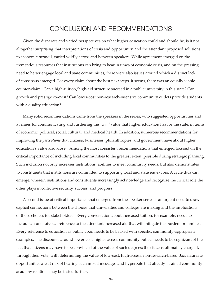## CONCLUSION AND RECOMMENDATIONS

Given the disparate and varied perspectives on what higher education could and should be, is it not altogether surprising that interpretations of crisis and opportunity, and the attendant proposed solutions to economic turmoil, varied wildly across and between speakers. While agreement emerged on the tremendous resources that institutions can bring to bear in times of economic crisis, and on the pressing need to better engage local and state communities, there were also issues around which a distinct lack of consensus emerged. For every claim about the best next steps, it seems, there was an equally viable counter-claim. Can a high-tuition/high-aid structure succeed in a public university in this state? Can growth and prestige co-exist? Can lower-cost non-research-intensive community outlets provide students with a quality education?

Many solid recommendations came from the speakers in the series, who suggested opportunities and avenues for communicating and furthering the *actual* value that higher education has for the state, in terms of economic, political, social, cultural, and medical health. In addition, numerous recommendations for improving the *perceptions* that citizens, businesses, philanthropies, and government have about higher education's value also arose. Among the most consistent recommendations that emerged focused on the critical importance of including local communities to the greatest extent possible during strategic planning. Such inclusion not only increases institutions' abilities to meet community needs, but also demonstrates to constituents that institutions are committed to supporting local and state endeavors. A cycle thus can emerge, wherein institutions and constituents increasingly acknowledge and recognize the critical role the other plays in collective security, success, and progress.

A second issue of critical importance that emerged from the speaker series is an urgent need to draw explicit connections between the choices that universities and colleges are making and the implications of those choices for stakeholders. Every conversation about increased tuition, for example, needs to include an unequivocal reference to the attendant increased aid that will mitigate the burden for families. Every reference to education as public good needs to be backed with specific, community-appropriate examples. The discourse around lower-cost, higher-access community outlets needs to be cognizant of the fact that citizens may have to be convinced of the value of such degrees; the citizens ultimately charged, through their vote, with determining the value of low-cost, high-access, non-research-based Baccalaureate opportunities are at risk of hearing such mixed messages and hyperbole that already-strained communityacademy relations may be tested further.